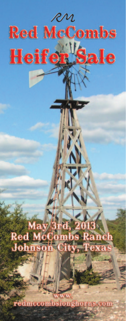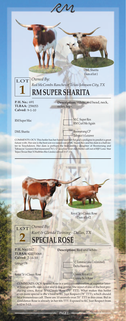

**PAGE 2**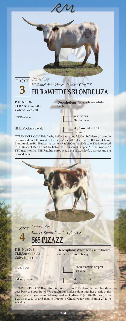

LE Liza 51 COMMENTS: OCV. This flashy heifer has a long McCombs' history. I bought her granddam, LE Liza 51 at the Fiesta Sale, 2001. H<mark>er</mark> dam, HL Lisa's Classic Blonde sold to Bill Hudson as lot no. 49 at McCombs' 2006 sale. She is exposed

to 3H Respect Man from 3-15-12 to 7-14-12, a son of Respect Me that was 52.5" TTT at 20 months. BBR Rawhide produced a big base, colorful, correct and big horned heifer.



**P. H. No.: TLBAA: Calved:** 10-11-10

346 **Description:** White body with brown on face and over body.

Iron Mike ST

RM Rexy Pizazz

Hashknife

Hunts Command Respect

M.C. Super Rex RM Pizazz

COMMENTS: OCV. Beautiful big-horned Iron Mike daughter and her dam goes back to Super Bowl. We bought this heifer's dam with her at side at the Fiesta Sale two years ago. Sells exposed to Skydiver 15 (a Sittin Bull son) from 1-20-13 to 2-17-13 and then to Tractor (a Chuckwagon son) from 2-27-13 to sale date.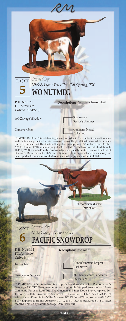

Dam of lot 6



# *Mike Casey - Nicasio, CA* **PACIFIC SNOWDROP**

**P. H. No.: ITLA:** 256993 **Calved:** 1-13-11

Top Caliber

Phenomenon's Dancer

**Description:** Red roan.

Hunts Command Respect Hashbrown

**BD Phenomenons Sundancer** L Susie Sage

COMMENTS: OCV. Snowdrop is a Top Caliber daughter out of Phenomenon's Dancer, a 75" TTT Phenomenon granddaughter. In her pedigree she has Hunts Command Respect, Roundup, Phenomenon and Sage Dode. Snowdrop was 56" TTT on 5-15-13 (at 26 months). She sells bred 4 months to Helm's Ace (on 3-15-13) who is a son of Temptation's The Ace (over 80" TTT) and Wiregrass Laura (81 1/2" TTT). Exposed to Helm's Ace from 9-11-12 to 5-1-13. Ace measured 61" TTT at 23 months. This is a dynamite package. Don't miss out.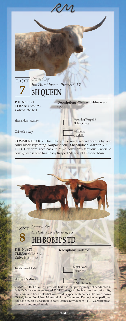



Bobbi's Mikey, who measured 72" TTT at age 4. She features the conformity, body size and horn potential you would expect with names like Touchdown Of RM, Super Bowl, Iron Mike and Hunts Command Respect in her pedigree. She has a sweet disposition to boot! Dam is now over 75" TTT. Current measurement announced at sale.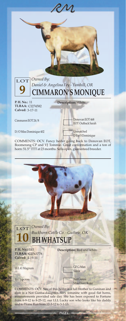

COMMENTS: OCV. Fancy heifer going back to Donovan EOT, Boomerang CP and VJ Tommie. Great conformation and a ton of horn: 51.5" TTT at 23 months. Sells open, guaranteed breeder.



LLL 41 Magnum

BH Topcross

GF G-Man Sizzle Not Gunna

Miss Daisy Ruler

COMMENTS: OCV. Sire of this heifer is a full brother to Gunman and dam is a Not Gunna daughter. Very feminine with good flat horns, measurements provided sale day. She has been exposed to Fortune from 6-9-12 to 8-25-12, our LLL Lucky son who looks like his daddy and to Home Run from 12-3-12 to 3-1-13.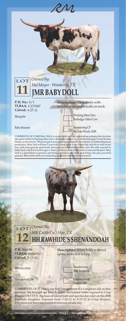

COMMENTS: OCV. JMR Baby Doll is a young heifer with an outstanding pedigree that includes<br>Mesquite (which is Working Man Chex x Rutledge's Moo Cow) with Boomerang CP and Wichtia<br>Windy on the bottom. What you get is an exce





*MK Cattle Co. - Hye, TX* **HH RAWHIDE'S SHENANDOAH**

**P. H. No.: TLBAA: Calved:** 5-13-11

BBR Rawhide

Shenandoah 208

44 **Description:** White body with red spots, socks and tail tip.

> Rendezvous BBR Barbwire

Gunna Zwink Watson 208

COMMENTS: OCV. This is our first consignment to a Longhorn sale as new breeders. We brought our best. A flashy, flat horned heifer exposed to Crisp Respect (78.5 TTT). Big base of lateral horn and spectacular color on this BBR Rawhide daughter. Exposed from 7-20-12 to 9-15-12 to Crisp Respect. Palpation and horn measurement announced sale day.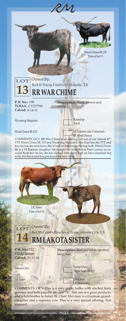

**PAGE 8**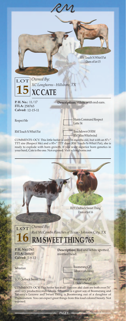

COMMENTS: OCV. This heifer has it all! Her sire and dam are both over 74" and very productive individuals. Sebastian is a great son of Boomerang and Tabasco's Lezawe and Sweet Thing is Boomerang out of a daughter of Phenomenon. You can expect great things from this loud colored beauty. Not exposed.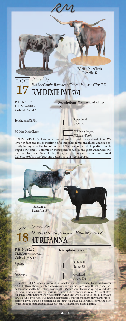

**PAGE 10**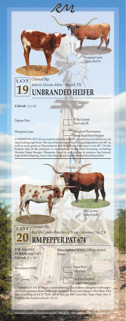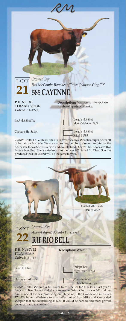

**P. H. No.: TLBAA: Calved:** 11-12-00

88 **Description:** Maroon white spot on forehead spots on flanks.

Im AHot Shot Too

Cooper's Hot Safari

Deigo's Hot Shot Moore's Maiden 34/4

Deigo's Hot Shot Safari B 1795

COMMENTS: OCV. This is one of our favorite cows. We sold a super heifer off of her at our last sale. We are also selling her Touchdown daughter in the heifer sale today. She is over 70" and double-bred Diego's Shot Shot as well as Moore breeding. She is safe-in-calf to the over 80" Safari BL Chex. She has produced well for us and will do the same for you.





LOT *Owned By: Allen/Filip/McCombs Partnership* **RJF RIO BELL**

**P. H. No.: ITLA:** 259815 **Calved:** 3-1-12

Safari BL Chex

Hubbells Rio Linda

**Description:** White.

Farlap Chex Night Safari BL833

JP Rio Grande - Hubbells Texas Tiger

COMMENTS: We sold a full-sister to this heifer for \$11,000 at last year's Legacy to Ben Gravett and she is awesome. Safari Chex is over 80" and her dam is one of the best producing daughters of JP Rio Grande and measures 77". We have half-sisters to this heifer out of Iron Mike and Concealed Weapon that are outstanding as well. It would be hard to find more proven genetics to add to your herd.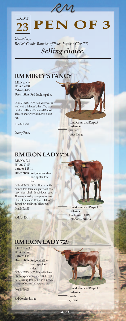

*Owned By: Red McCombs Ranches of Texas-Johnson City, TX Selling choice.*

# **RM MIKEY'S FANCY**

**P. H. No.:**  716 **ITLA:**  259034 **Calved:** 4-15-11 **Description:** Red & white paint.

COMMENTS: OCV. Iron Mike works well with this heifer's dam. The combination of Hunts Command Respect, Tabasco and Overwhelmer is a winner.

Iron Mike ST

Overly Fancy

**RM IRON LADY 724**

**P. H. No.:**  724 **ITLA:**  260157 **Calved:** 4-15-11 **Description:** Red, white underline, spot in fore-

head

COMMENTS: OCV. This is a flat horned Iron Mike daughter out of a very nice black Touchdown cow. There are amazing horn genetics here: Hunts Command Respect, Tabasco, Super Bowl and Diego's Hot Shot.

Iron Mike ST

RM Pat 464

Hunts Command Respect Hashknife Overlord Fancy Range

Hunts Command Respect Hashknife Touchdown Of RM Hot Shot's Carmela

## **RM IRON LADY 729**

**P. H. No.:**  729 **ITLA:**  260162 **Calved:** 4-15-11 **Description:** Red, white line-

back, speckled sides.

COMMENTS: OCV. This heifer is out of a horn producing line of Butler cattle. Crossing Iron Mike on a Coach daughter has worked here for sure.

Iron Mike ST

RM Coach's Joann

Hunts Command Respect Hashknife Coach VJ Joann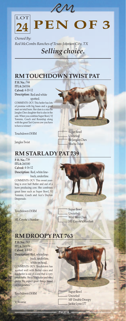

*Owned By: Red McCombs Ranches of Texas-Johnson City, TX Selling choice.*

# **RM TOUCHDOWN TWIST PAT**

**P. H. No.:**  744 **ITLA:**  260184 **Calved:** 4-20-12 **Description:** Red and white spotted.

COMMENTS: OCV. This heifer has lots of promise with big bases and a good start on total horn. Her dam is a nice Bo Jangles Chex daughter that is also in the sale. When you combine Super Bowl, VJ Tommie, Coach and Roundup along with the great Tari Graves cow you have to have a winner!

Touchdown Of RM

Jangles Twist

### **RM STARLADY PAT 739**

**P. H. No.:**  739 **ITLA:**  260180 **Calved:** 4-16-12 **Description:** Red, white line-

back, underline. COMMENTS: OCV. This sweet yearling is over half Butler and out of a horn producing cow. She combines great lines such as Super Bowl, VJ Tommie, Coach and Ace's Dayton Desperado.

Touchdown Of RM



Super Bowl Uncurled Bo Jangles Chex Mocha Twist

HL Coyote's Stardoe

Super Bowl Uncurled Wild West Chex HL Coyote's Stardust

### **RM DROOPY PAT 763**

**P. H. No.:**  763 **ITLA:**  260176 **Calved:** 4-1-12 **Description:** Red, white lineback, underline, white on head.

COMMENTS: OCV. Touchdown has worked well with Butler cows and this heifer is out of a cow that is very predictable. She is 3/4 Butler and very pretty. We expect great things based on her genetics.

Touchdown Of RM

VJ Roanie

Super Bowl Uncurled MF Double Droopy - Jackie Lynn 177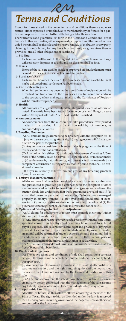

Except for those stated in the below terms and conditions there are no warranties, either expressed or implied, as to merchantability or fitness for a particular purpose with respect to the cattle being sold at this auction.

The warranties and guarantee set forth in the "Terms and Conditions" are in lieu of all other warranties, either expressed or implied, and the remedies provided therein shall be the sole and exclusive remedy of the buyer, or any party claiming through buyer, for any breach or warranty or guarantees therein provided, and all other obligations or liabilities.

### **1. Bidding**

Each animal will be sold to the highest bidder. The auctioneer in charge will settle any disputes as to bids, and his decision shall be final.

### **2. Terms**

Terms of the sale are cash or check or approved credit. Settlement must be made to the clerk at the conclusion of the auction.

#### **3. Purchaser's Risk**

Each animal becomes the risk of the purchaser as soon as sold, but will not be delivered until settlement has been made.

#### **4. Certificate of Registry**

When full settlement has been made, a certificate of registration will be furnished and transferred to the purchaser. Give full name and address to the secretary when making payments so the Certificates of Registry will be transferred properly.

#### **5. Health**

All animals are eligible for interstate shipment except as otherwise noted. The cattle have been test<mark>ed for tube</mark>rculosis and Bangs disease within 30 days of sale date. A certificate will be furnished.

#### **6. Announcements**

Announcements from the auction box take precedence over printed matter in this catalog. All cattle will be sold by lot numbers, as announced by auctioneer.

#### **7. Breeding Guarantee**

(A) All animals are guaranteed to be breeders with the exception of: (a) injury or disease occurring after sale, (b) negligence or willful misconduct on the part of the purchaser.

(B) Any female is considered a breeder if she is pregnant at the time of this sale and/or she has a calf at side.

(C) Any bull which either: (1) produces viable semen; (2) settles 1/3 or more of the healthy cows he serves; (3) is the sire of 20 or more animals; or (4) settles cows by natural service, and passes a fertility test made by a competent veterinarian during any six month period trial, shall be considered a breeder.

(D) Buyer must notify seller within one year of any breeding problem found in an animal.

### **8. Embryo Transfer Guarantee**

All donor cows that have been worked successfully in embryo transfer are guaranteed to produce good embryos with the exception of other guarantees stated in the footnotes of this catalog or announced from the auction block. It is understood that these guarantees are valid only if: (1) a qualified person or persons do the transfer; (2) donor cow is managed properly in embryo transfer (i.e. not over conditioned and/or overworked); (3) injury or disease does not occur after the sale and (4) the purchaser is not negligent or willfully mistreats the donor cow.

#### **9. Options and Privileges for Return or Adjustment**

(A) All claims for adjustment or return must be made in writing within six months of the sale date.

(B) Any animal that has not proven itself a breeder within the time limits specified above, if in healthy condition, may be returned to seller at buyer's expense. The seller reserves the right and privilege of trying for a period of six months to prove the animal a breeder. If proven a breeder, an animal will be returned at buyer's expense. Should the animal fail to breed, the seller, at his option, may either return the purchase price or make replacement of the animal with another of equal value.

(C) Any animal returned must have a veterinarian's certificate that it is free of Bangs and tuberculosis.

#### **10. Rights and Obligations**

(A) The above terms and conditions of sale shall constitute a contract between the buyers and sellers of each animal and shall be equally binding upon both.

(B) Animals resold following the purchase in this sale shall constitute a separate transaction, and the rights and obligations of the two parties connected thereto are not covered by the terms and conditions of this sale.

(C) All persons who attend the sale do so at their own risk and the owners nor any person connected with the management of the sale assume any liability, legal or otherwise, for any accidents which may occur.

### **11. Applicable Law**

All cattle (or horses) in this sale are offered according to the laws of the State of Texas. The right to bid, as provided under the law, is reserved for all Consignors, including owners and their agents, unless otherwise announced by the Auctioneer.